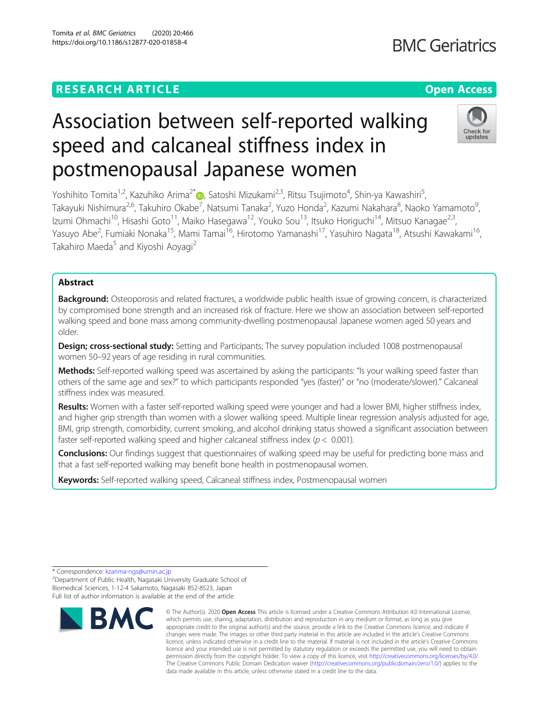# **RESEARCH ARTICLE Example 2014 12:30 The Contract of Contract ACCESS**

# Association between self-reported walking speed and calcaneal stiffness index in postmenopausal Japanese women

Yoshihito Tomita<sup>1,2</sup>, Kazuhiko Arima<sup>2\*</sup>. , Satoshi Mizukami<sup>2,3</sup>, Ritsu Tsujimoto<sup>4</sup>, Shin-ya Kawashiri<sup>5</sup> , Takayuki Nishimura<sup>2,6</sup>, Takuhiro Okabe<sup>7</sup>, Natsumi Tanaka<sup>2</sup>, Yuzo Honda<sup>2</sup>, Kazumi Nakahara<sup>8</sup>, Naoko Yamamoto<sup>s</sup> , Izumi Ohmachi<sup>10</sup>, Hisashi Goto<sup>11</sup>, Maiko Hasegawa<sup>12</sup>, Youko Sou<sup>13</sup>, Itsuko Horiguchi<sup>14</sup>, Mitsuo Kanagae<sup>2,3</sup>, Yasuyo Abe<sup>2</sup>, Fumiaki Nonaka<sup>15</sup>, Mami Tamai<sup>16</sup>, Hirotomo Yamanashi<sup>17</sup>, Yasuhiro Nagata<sup>18</sup>, Atsushi Kawakami<sup>16</sup>, Takahiro Maeda<sup>5</sup> and Kiyoshi Aoyagi<sup>2</sup>

## Abstract

Background: Osteoporosis and related fractures, a worldwide public health issue of growing concern, is characterized by compromised bone strength and an increased risk of fracture. Here we show an association between self-reported walking speed and bone mass among community-dwelling postmenopausal Japanese women aged 50 years and older.

Design; cross-sectional study: Setting and Participants; The survey population included 1008 postmenopausal women 50–92 years of age residing in rural communities.

Methods: Self-reported walking speed was ascertained by asking the participants: "Is your walking speed faster than others of the same age and sex?" to which participants responded "yes (faster)" or "no (moderate/slower)." Calcaneal stiffness index was measured.

Results: Women with a faster self-reported walking speed were younger and had a lower BMI, higher stiffness index, and higher grip strength than women with a slower walking speed. Multiple linear regression analysis adjusted for age, BMI, grip strength, comorbidity, current smoking, and alcohol drinking status showed a significant association between faster self-reported walking speed and higher calcaneal stiffness index ( $p < 0.001$ ).

**Conclusions:** Our findings suggest that questionnaires of walking speed may be useful for predicting bone mass and that a fast self-reported walking may benefit bone health in postmenopausal women.

Keywords: Self-reported walking speed, Calcaneal stiffness index, Postmenopausal women

<sup>2</sup>Department of Public Health, Nagasaki University Graduate School of Biomedical Sciences, 1-12-4 Sakamoto, Nagasaki 852-8523, Japan Full list of author information is available at the end of the article

#### Tomita et al. BMC Geriatrics (2020) 20:466 https://doi.org/10.1186/s12877-020-01858-4



<sup>©</sup> The Author(s), 2020 **Open Access** This article is licensed under a Creative Commons Attribution 4.0 International License, which permits use, sharing, adaptation, distribution and reproduction in any medium or format, as long as you give appropriate credit to the original author(s) and the source, provide a link to the Creative Commons licence, and indicate if changes were made. The images or other third party material in this article are included in the article's Creative Commons licence, unless indicated otherwise in a credit line to the material. If material is not included in the article's Creative Commons licence and your intended use is not permitted by statutory regulation or exceeds the permitted use, you will need to obtain permission directly from the copyright holder. To view a copy of this licence, visit [http://creativecommons.org/licenses/by/4.0/.](http://creativecommons.org/licenses/by/4.0/) The Creative Commons Public Domain Dedication waiver [\(http://creativecommons.org/publicdomain/zero/1.0/](http://creativecommons.org/publicdomain/zero/1.0/)) applies to the data made available in this article, unless otherwise stated in a credit line to the data.



<sup>\*</sup> Correspondence: [kzarima-ngs@umin.ac.jp](mailto:kzarima-ngs@umin.ac.jp) <sup>2</sup>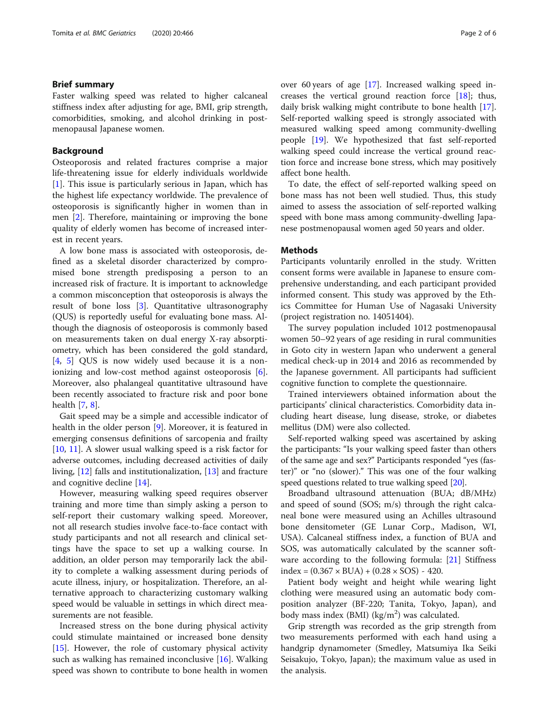#### Brief summary

Faster walking speed was related to higher calcaneal stiffness index after adjusting for age, BMI, grip strength, comorbidities, smoking, and alcohol drinking in postmenopausal Japanese women.

#### Background

Osteoporosis and related fractures comprise a major life-threatening issue for elderly individuals worldwide [[1\]](#page-4-0). This issue is particularly serious in Japan, which has the highest life expectancy worldwide. The prevalence of osteoporosis is significantly higher in women than in men [[2\]](#page-4-0). Therefore, maintaining or improving the bone quality of elderly women has become of increased interest in recent years.

A low bone mass is associated with osteoporosis, defined as a skeletal disorder characterized by compromised bone strength predisposing a person to an increased risk of fracture. It is important to acknowledge a common misconception that osteoporosis is always the result of bone loss [[3\]](#page-4-0). Quantitative ultrasonography (QUS) is reportedly useful for evaluating bone mass. Although the diagnosis of osteoporosis is commonly based on measurements taken on dual energy X-ray absorptiometry, which has been considered the gold standard, [[4,](#page-4-0) [5](#page-4-0)] QUS is now widely used because it is a nonionizing and low-cost method against osteoporosis [\[6](#page-4-0)]. Moreover, also phalangeal quantitative ultrasound have been recently associated to fracture risk and poor bone health [[7,](#page-4-0) [8\]](#page-4-0).

Gait speed may be a simple and accessible indicator of health in the older person [[9\]](#page-4-0). Moreover, it is featured in emerging consensus definitions of sarcopenia and frailty [[10,](#page-4-0) [11\]](#page-4-0). A slower usual walking speed is a risk factor for adverse outcomes, including decreased activities of daily living, [\[12](#page-4-0)] falls and institutionalization, [[13\]](#page-4-0) and fracture and cognitive decline [\[14](#page-4-0)].

However, measuring walking speed requires observer training and more time than simply asking a person to self-report their customary walking speed. Moreover, not all research studies involve face-to-face contact with study participants and not all research and clinical settings have the space to set up a walking course. In addition, an older person may temporarily lack the ability to complete a walking assessment during periods of acute illness, injury, or hospitalization. Therefore, an alternative approach to characterizing customary walking speed would be valuable in settings in which direct measurements are not feasible.

Increased stress on the bone during physical activity could stimulate maintained or increased bone density [[15\]](#page-4-0). However, the role of customary physical activity such as walking has remained inconclusive  $[16]$ . Walking speed was shown to contribute to bone health in women over 60 years of age [[17\]](#page-4-0). Increased walking speed increases the vertical ground reaction force [[18\]](#page-5-0); thus, daily brisk walking might contribute to bone health [\[17](#page-4-0)]. Self-reported walking speed is strongly associated with measured walking speed among community-dwelling people [\[19](#page-5-0)]. We hypothesized that fast self-reported walking speed could increase the vertical ground reaction force and increase bone stress, which may positively affect bone health.

To date, the effect of self-reported walking speed on bone mass has not been well studied. Thus, this study aimed to assess the association of self-reported walking speed with bone mass among community-dwelling Japanese postmenopausal women aged 50 years and older.

#### Methods

Participants voluntarily enrolled in the study. Written consent forms were available in Japanese to ensure comprehensive understanding, and each participant provided informed consent. This study was approved by the Ethics Committee for Human Use of Nagasaki University (project registration no. 14051404).

The survey population included 1012 postmenopausal women 50–92 years of age residing in rural communities in Goto city in western Japan who underwent a general medical check-up in 2014 and 2016 as recommended by the Japanese government. All participants had sufficient cognitive function to complete the questionnaire.

Trained interviewers obtained information about the participants' clinical characteristics. Comorbidity data including heart disease, lung disease, stroke, or diabetes mellitus (DM) were also collected.

Self-reported walking speed was ascertained by asking the participants: "Is your walking speed faster than others of the same age and sex?" Participants responded "yes (faster)" or "no (slower)." This was one of the four walking speed questions related to true walking speed [[20](#page-5-0)].

Broadband ultrasound attenuation (BUA; dB/MHz) and speed of sound (SOS; m/s) through the right calcaneal bone were measured using an Achilles ultrasound bone densitometer (GE Lunar Corp., Madison, WI, USA). Calcaneal stiffness index, a function of BUA and SOS, was automatically calculated by the scanner software according to the following formula: [\[21](#page-5-0)] Stiffness index =  $(0.367 \times BUA) + (0.28 \times SOS) - 420$ .

Patient body weight and height while wearing light clothing were measured using an automatic body composition analyzer (BF-220; Tanita, Tokyo, Japan), and body mass index (BMI) (kg/m<sup>2</sup>) was calculated.

Grip strength was recorded as the grip strength from two measurements performed with each hand using a handgrip dynamometer (Smedley, Matsumiya Ika Seiki Seisakujo, Tokyo, Japan); the maximum value as used in the analysis.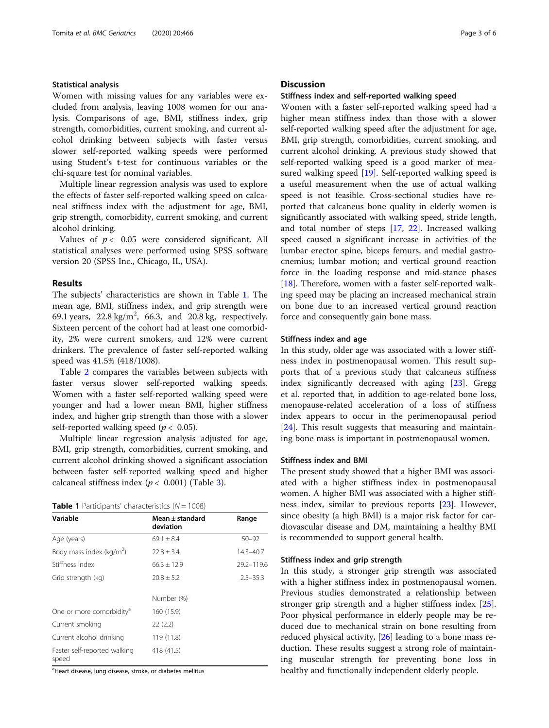#### Statistical analysis

Women with missing values for any variables were excluded from analysis, leaving 1008 women for our analysis. Comparisons of age, BMI, stiffness index, grip strength, comorbidities, current smoking, and current alcohol drinking between subjects with faster versus slower self-reported walking speeds were performed using Student's t-test for continuous variables or the chi-square test for nominal variables.

Multiple linear regression analysis was used to explore the effects of faster self-reported walking speed on calcaneal stiffness index with the adjustment for age, BMI, grip strength, comorbidity, current smoking, and current alcohol drinking.

Values of  $p < 0.05$  were considered significant. All statistical analyses were performed using SPSS software version 20 (SPSS Inc., Chicago, IL, USA).

#### Results

The subjects' characteristics are shown in Table 1. The mean age, BMI, stiffness index, and grip strength were 69.1 years,  $22.8 \text{ kg/m}^2$ , 66.3, and 20.8 kg, respectively. Sixteen percent of the cohort had at least one comorbidity, 2% were current smokers, and 12% were current drinkers. The prevalence of faster self-reported walking speed was 41.5% (418/1008).

Table [2](#page-3-0) compares the variables between subjects with faster versus slower self-reported walking speeds. Women with a faster self-reported walking speed were younger and had a lower mean BMI, higher stiffness index, and higher grip strength than those with a slower self-reported walking speed ( $p < 0.05$ ).

Multiple linear regression analysis adjusted for age, BMI, grip strength, comorbidities, current smoking, and current alcohol drinking showed a significant association between faster self-reported walking speed and higher calcaneal stiffness index ( $p < 0.001$ ) (Table [3\)](#page-3-0).

#### **Table 1** Participants' characteristics  $(N = 1008)$

| Variable                              | Mean ± standard<br>deviation | Range        |
|---------------------------------------|------------------------------|--------------|
| Age (years)                           | $69.1 \pm 8.4$               | $50 - 92$    |
| Body mass index (kg/m <sup>2</sup> )  | $22.8 \pm 3.4$               | 14.3-40.7    |
| Stiffness index                       | $66.3 \pm 12.9$              | 29.2-119.6   |
| Grip strength (kg)                    | $20.8 \pm 5.2$               | $2.5 - 35.3$ |
|                                       | Number (%)                   |              |
| One or more comorbidity <sup>a</sup>  | 160 (15.9)                   |              |
| Current smoking                       | 22(2.2)                      |              |
| Current alcohol drinking              | 119 (11.8)                   |              |
| Faster self-reported walking<br>speed | 418 (41.5)                   |              |

<sup>a</sup>Heart disease, lung disease, stroke, or diabetes mellitus

#### **Discussion**

#### Stiffness index and self-reported walking speed

Women with a faster self-reported walking speed had a higher mean stiffness index than those with a slower self-reported walking speed after the adjustment for age, BMI, grip strength, comorbidities, current smoking, and current alcohol drinking. A previous study showed that self-reported walking speed is a good marker of mea-sured walking speed [\[19](#page-5-0)]. Self-reported walking speed is a useful measurement when the use of actual walking speed is not feasible. Cross-sectional studies have reported that calcaneus bone quality in elderly women is significantly associated with walking speed, stride length, and total number of steps [\[17](#page-4-0), [22](#page-5-0)]. Increased walking speed caused a significant increase in activities of the lumbar erector spine, biceps femurs, and medial gastrocnemius; lumbar motion; and vertical ground reaction force in the loading response and mid-stance phases [[18\]](#page-5-0). Therefore, women with a faster self-reported walking speed may be placing an increased mechanical strain on bone due to an increased vertical ground reaction force and consequently gain bone mass.

#### Stiffness index and age

In this study, older age was associated with a lower stiffness index in postmenopausal women. This result supports that of a previous study that calcaneus stiffness index significantly decreased with aging [\[23\]](#page-5-0). Gregg et al. reported that, in addition to age-related bone loss, menopause-related acceleration of a loss of stiffness index appears to occur in the perimenopausal period [[24\]](#page-5-0). This result suggests that measuring and maintaining bone mass is important in postmenopausal women.

#### Stiffness index and BMI

The present study showed that a higher BMI was associated with a higher stiffness index in postmenopausal women. A higher BMI was associated with a higher stiffness index, similar to previous reports [[23\]](#page-5-0). However, since obesity (a high BMI) is a major risk factor for cardiovascular disease and DM, maintaining a healthy BMI is recommended to support general health.

#### Stiffness index and grip strength

In this study, a stronger grip strength was associated with a higher stiffness index in postmenopausal women. Previous studies demonstrated a relationship between stronger grip strength and a higher stiffness index [\[25](#page-5-0)]. Poor physical performance in elderly people may be reduced due to mechanical strain on bone resulting from reduced physical activity, [[26](#page-5-0)] leading to a bone mass reduction. These results suggest a strong role of maintaining muscular strength for preventing bone loss in healthy and functionally independent elderly people.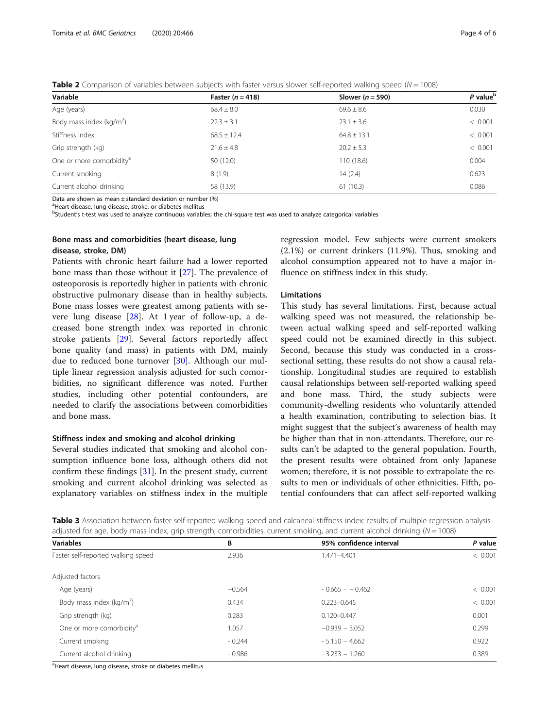<span id="page-3-0"></span>Table 2 Comparison of variables between subjects with faster versus slower self-reported walking speed ( $N = 1008$ )

| Variable                             | Faster $(n = 418)$ | Slower ( $n = 590$ ) | P value <sup>b</sup> |
|--------------------------------------|--------------------|----------------------|----------------------|
| Age (years)                          | $68.4 \pm 8.0$     | $69.6 \pm 8.6$       | 0.030                |
| Body mass index ( $kg/m2$ )          | $22.3 \pm 3.1$     | $23.1 \pm 3.6$       | < 0.001              |
| Stiffness index                      | $68.5 \pm 12.4$    | $64.8 \pm 13.1$      | < 0.001              |
| Grip strength (kg)                   | $21.6 + 4.8$       | $20.2 \pm 5.3$       | < 0.001              |
| One or more comorbidity <sup>a</sup> | 50 (12.0)          | 110(18.6)            | 0.004                |
| Current smoking                      | 8(1.9)             | 14(2.4)              | 0.623                |
| Current alcohol drinking             | 58 (13.9)          | 61(10.3)             | 0.086                |

Data are shown as mean  $\pm$  standard deviation or number (%) <sup>a</sup>Heart disease, lung disease, stroke, or diabetes mellitus

**bStudent's t-test was used to analyze continuous variables; the chi-square test was used to analyze categorical variables** 

#### Bone mass and comorbidities (heart disease, lung disease, stroke, DM)

Patients with chronic heart failure had a lower reported bone mass than those without it [[27](#page-5-0)]. The prevalence of osteoporosis is reportedly higher in patients with chronic obstructive pulmonary disease than in healthy subjects. Bone mass losses were greatest among patients with severe lung disease [\[28](#page-5-0)]. At 1 year of follow-up, a decreased bone strength index was reported in chronic stroke patients [[29\]](#page-5-0). Several factors reportedly affect bone quality (and mass) in patients with DM, mainly due to reduced bone turnover [\[30\]](#page-5-0). Although our multiple linear regression analysis adjusted for such comorbidities, no significant difference was noted. Further studies, including other potential confounders, are needed to clarify the associations between comorbidities and bone mass.

#### Stiffness index and smoking and alcohol drinking

Several studies indicated that smoking and alcohol consumption influence bone loss, although others did not confirm these findings [[31](#page-5-0)]. In the present study, current smoking and current alcohol drinking was selected as explanatory variables on stiffness index in the multiple

regression model. Few subjects were current smokers (2.1%) or current drinkers (11.9%). Thus, smoking and alcohol consumption appeared not to have a major influence on stiffness index in this study.

#### **Limitations**

This study has several limitations. First, because actual walking speed was not measured, the relationship between actual walking speed and self-reported walking speed could not be examined directly in this subject. Second, because this study was conducted in a crosssectional setting, these results do not show a causal relationship. Longitudinal studies are required to establish causal relationships between self-reported walking speed and bone mass. Third, the study subjects were community-dwelling residents who voluntarily attended a health examination, contributing to selection bias. It might suggest that the subject's awareness of health may be higher than that in non-attendants. Therefore, our results can't be adapted to the general population. Fourth, the present results were obtained from only Japanese women; therefore, it is not possible to extrapolate the results to men or individuals of other ethnicities. Fifth, potential confounders that can affect self-reported walking

Table 3 Association between faster self-reported walking speed and calcaneal stiffness index: results of multiple regression analysis adjusted for age, body mass index, grip strength, comorbidities, current smoking, and current alcohol drinking ( $N = 1008$ )

| <b>Variables</b>                     | В        | 95% confidence interval | P value |
|--------------------------------------|----------|-------------------------|---------|
| Faster self-reported walking speed   | 2.936    | 1.471-4.401             | < 0.001 |
| Adjusted factors                     |          |                         |         |
| Age (years)                          | $-0.564$ | $-0.665 - -0.462$       | < 0.001 |
| Body mass index (kg/m <sup>2</sup> ) | 0.434    | $0.223 - 0.645$         | < 0.001 |
| Grip strength (kg)                   | 0.283    | $0.120 - 0.447$         | 0.001   |
| One or more comorbidity <sup>a</sup> | 1.057    | $-0.939 - 3.052$        | 0.299   |
| Current smoking                      | $-0.244$ | $-5.150 - 4.662$        | 0.922   |
| Current alcohol drinking             | - 0.986  | $-3.233 - 1.260$        | 0.389   |

<sup>a</sup>Heart disease, lung disease, stroke or diabetes mellitus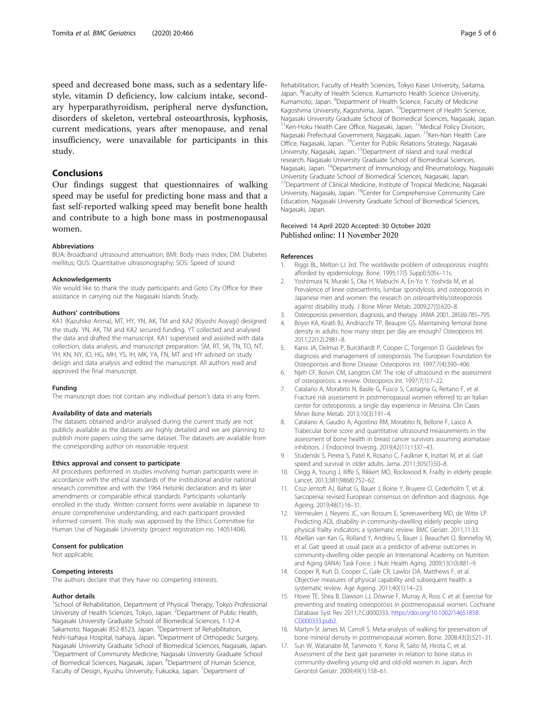<span id="page-4-0"></span>speed and decreased bone mass, such as a sedentary lifestyle, vitamin D deficiency, low calcium intake, secondary hyperparathyroidism, peripheral nerve dysfunction, disorders of skeleton, vertebral osteoarthrosis, kyphosis, current medications, years after menopause, and renal insufficiency, were unavailable for participants in this study.

### Conclusions

Our findings suggest that questionnaires of walking speed may be useful for predicting bone mass and that a fast self-reported walking speed may benefit bone health and contribute to a high bone mass in postmenopausal women.

#### Abbreviations

BUA: Broadband ultrasound attenuation; BMI: Body mass index; DM: Diabetes mellitus; QUS: Quantitative ultrasonography; SOS: Speed of sound

#### Acknowledgements

We would like to thank the study participants and Goto City Office for their assistance in carrying out the Nagasaki Islands Study.

#### Authors' contributions

KA1 (Kazuhiko Arima), MT, HY, YN, AK, TM and KA2 (Kiyoshi Aoyagi) designed the study. YN, AK, TM and KA2 secured funding. YT collected and analysed the data and drafted the manuscript. KA1 supervised and assisted with data collection, data analysis, and manuscript preparation. SM, RT, SK, TN, TO, NT, YH, KN, NY, IO, HG, MH, YS, IH, MK, YA, FN, MT and HY advised on study design and data analysis and edited the manuscript. All authors read and approved the final manuscript.

#### Funding

The manuscript does not contain any individual person's data in any form.

#### Availability of data and materials

The datasets obtained and/or analysed during the current study are not publicly available as the datasets are highly detailed and we are planning to publish more papers using the same dataset. The datasets are available from the corresponding author on reasonable request.

#### Ethics approval and consent to participate

All procedures performed in studies involving human participants were in accordance with the ethical standards of the institutional and/or national research committee and with the 1964 Helsinki declaration and its later amendments or comparable ethical standards. Participants voluntarily enrolled in the study. Written consent forms were available in Japanese to ensure comprehensive understanding, and each participant provided informed consent. This study was approved by the Ethics Committee for Human Use of Nagasaki University (project registration no. 14051404).

#### Consent for publication

Not applicable.

#### Competing interests

The authors declare that they have no competing interests.

#### Author details

<sup>1</sup>School of Rehabilitation, Department of Physical Therapy, Tokyo Professional University of Health Sciences, Tokyo, Japan. <sup>2</sup> Department of Public Health, Nagasaki University Graduate School of Biomedical Sciences, 1-12-4 Sakamoto, Nagasaki 852-8523, Japan. <sup>3</sup>Department of Rehabilitation, Nishi-Isahaya Hospital, Isahaya, Japan. <sup>4</sup>Department of Orthopedic Surgery, Nagasaki University Graduate School of Biomedical Sciences, Nagasaki, Japan. 5 Department of Community Medicine, Nagasaki University Graduate School of Biomedical Sciences, Nagasaki, Japan. <sup>6</sup>Department of Human Science, Faculty of Design, Kyushu University, Fukuoka, Japan. <sup>7</sup>Department of

Rehabilitation, Faculty of Health Sciences, Tokyo Kasei University, Saitama, Japan. <sup>8</sup>Faculty of Health Science, Kumamoto Health Science University, Kumamoto, Japan. <sup>9</sup>Department of Health Science, Faculty of Medicine Kagoshima University, Kagoshima, Japan. <sup>10</sup>Department of Health Science, Nagasaki University Graduate School of Biomedical Sciences, Nagasaki, Japan. <sup>11</sup>Ken-Hoku Health Care Office, Nagasaki, Japan. <sup>12</sup>Medical Policy Division, Nagasaki Prefectural Government, Nagasaki, Japan. 13Ken-Nan Health Care Office, Nagasaki, Japan. 14Center for Public Relations Strategy, Nagasaki University, Nagasaki, Japan. <sup>15</sup>Department of island and rural medical research, Nagasaki University Graduate School of Biomedical Sciences, Nagasaki, Japan. 16Department of Immunology and Rheumatology, Nagasaki University Graduate School of Biomedical Sciences, Nagasaki, Japan. <sup>17</sup>Department of Clinical Medicine, Institute of Tropical Medicine, Nagasaki University, Nagasaki, Japan. 18Center for Comprehensive Community Care Education, Nagasaki University Graduate School of Biomedical Sciences, Nagasaki, Japan.

#### Received: 14 April 2020 Accepted: 30 October 2020 Published online: 11 November 2020

#### References

- 1. Riggs BL, Melton LJ 3rd. The worldwide problem of osteoporosis: insights afforded by epidemiology. Bone. 1995;17(5 Suppl):505s–11s.
- 2. Yoshimura N, Muraki S, Oka H, Mabuchi A, En-Yo Y, Yoshida M, et al. Prevalence of knee osteoarthritis, lumbar spondylosis, and osteoporosis in Japanese men and women: the research on osteoarthritis/osteoporosis against disability study. J Bone Miner Metab. 2009;27(5):620–8.
- 3. Osteoporosis prevention, diagnosis, and therapy. JAMA 2001, 285(6):785–795.
- 4. Boyer KA, Kiratli BJ, Andriacchi TP, Beaupre GS. Maintaining femoral bone density in adults: how many steps per day are enough? Osteoporos Int. 2011;22(12):2981–8.
- 5. Kanis JA, Delmas P, Burckhardt P, Cooper C, Torgerson D. Guidelines for diagnosis and management of osteoporosis. The European Foundation for Osteoporosis and Bone Disease. Osteoporos Int. 1997;7(4):390–406.
- 6. Njeh CF, Boivin CM, Langton CM. The role of ultrasound in the assessment of osteoporosis: a review. Osteoporos Int. 1997;7(1):7–22.
- 7. Catalano A, Morabito N, Basile G, Fusco S, Castagna G, Reitano F, et al. Fracture risk assessment in postmenopausal women referred to an Italian center for osteoporosis: a single day experience in Messina. Clin Cases Miner Bone Metab. 2013;10(3):191–4.
- Catalano A, Gaudio A, Agostino RM, Morabito N, Bellone F, Lasco A. Trabecular bone score and quantitative ultrasound measurements in the assessment of bone health in breast cancer survivors assuming aromatase inhibitors. J Endocrinol Investig. 2019;42(11):1337–43.
- 9. Studenski S, Perera S, Patel K, Rosano C, Faulkner K, Inzitari M, et al. Gait speed and survival in older adults. Jama. 2011;305(1):50–8.
- 10. Clegg A, Young J, Iliffe S, Rikkert MO, Rockwood K. Frailty in elderly people. Lancet. 2013;381(9868):752–62.
- 11. Cruz-Jentoft AJ, Bahat G, Bauer J, Boirie Y, Bruyere O, Cederholm T, et al. Sarcopenia: revised European consensus on definition and diagnosis. Age Ageing. 2019;48(1):16–31.
- 12. Vermeulen J, Neyens JC, van Rossum E, Spreeuwenberg MD, de Witte LP. Predicting ADL disability in community-dwelling elderly people using physical frailty indicators: a systematic review. BMC Geriatr. 2011;11:33.
- 13. Abellan van Kan G, Rolland Y, Andrieu S, Bauer J, Beauchet O, Bonnefoy M, et al. Gait speed at usual pace as a predictor of adverse outcomes in community-dwelling older people an International Academy on Nutrition and Aging (IANA) Task Force. J Nutr Health Aging. 2009;13(10):881–9.
- 14. Cooper R, Kuh D, Cooper C, Gale CR, Lawlor DA, Matthews F, et al. Objective measures of physical capability and subsequent health: a systematic review. Age Ageing. 2011;40(1):14–23.
- 15. Howe TE, Shea B, Dawson LJ, Downie F, Murray A, Ross C et al: Exercise for preventing and treating osteoporosis in postmenopausal women. Cochrane Database Syst Rev 2011;7:Cd000333. [https://doi.org/10.1002/14651858.](https://doi.org/10.1002/14651858.CD000333.pub2) [CD000333.pub2.](https://doi.org/10.1002/14651858.CD000333.pub2)
- 16. Martyn-St James M, Carroll S. Meta-analysis of walking for preservation of bone mineral density in postmenopausal women. Bone. 2008;43(3):521–31.
- 17. Sun W, Watanabe M, Tanimoto Y, Kono R, Saito M, Hirota C, et al. Assessment of the best gait parameter in relation to bone status in community-dwelling young-old and old-old women in Japan. Arch Gerontol Geriatr. 2009;49(1):158–61.